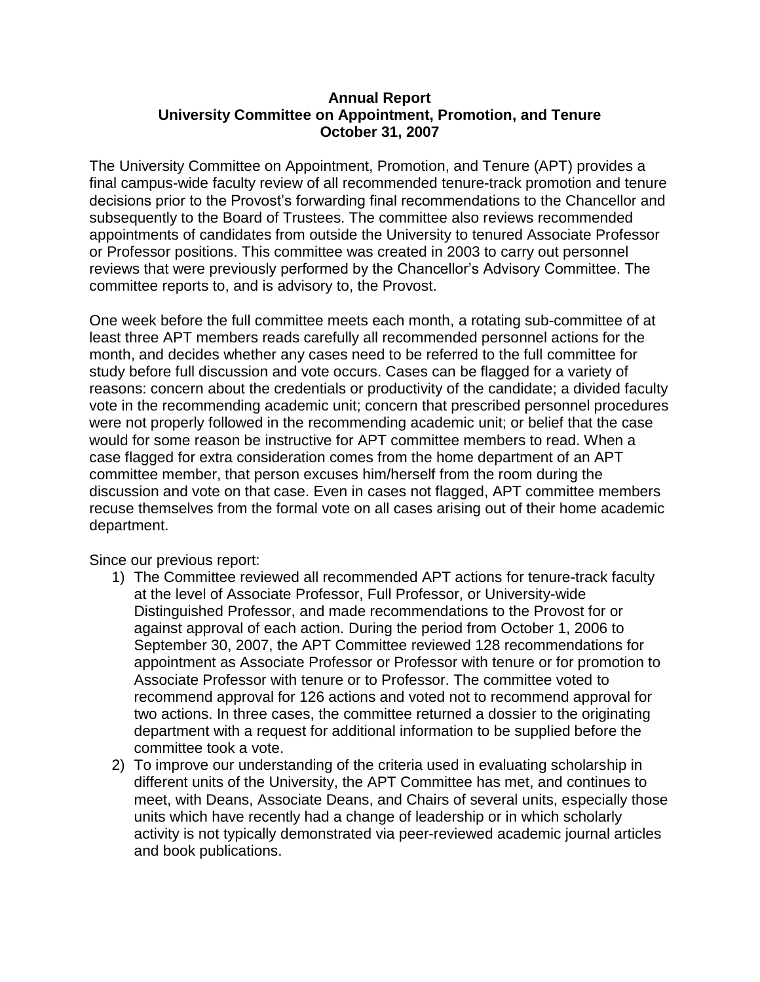## **Annual Report University Committee on Appointment, Promotion, and Tenure October 31, 2007**

The University Committee on Appointment, Promotion, and Tenure (APT) provides a final campus-wide faculty review of all recommended tenure-track promotion and tenure decisions prior to the Provost's forwarding final recommendations to the Chancellor and subsequently to the Board of Trustees. The committee also reviews recommended appointments of candidates from outside the University to tenured Associate Professor or Professor positions. This committee was created in 2003 to carry out personnel reviews that were previously performed by the Chancellor's Advisory Committee. The committee reports to, and is advisory to, the Provost.

One week before the full committee meets each month, a rotating sub-committee of at least three APT members reads carefully all recommended personnel actions for the month, and decides whether any cases need to be referred to the full committee for study before full discussion and vote occurs. Cases can be flagged for a variety of reasons: concern about the credentials or productivity of the candidate; a divided faculty vote in the recommending academic unit; concern that prescribed personnel procedures were not properly followed in the recommending academic unit; or belief that the case would for some reason be instructive for APT committee members to read. When a case flagged for extra consideration comes from the home department of an APT committee member, that person excuses him/herself from the room during the discussion and vote on that case. Even in cases not flagged, APT committee members recuse themselves from the formal vote on all cases arising out of their home academic department.

Since our previous report:

- 1) The Committee reviewed all recommended APT actions for tenure-track faculty at the level of Associate Professor, Full Professor, or University-wide Distinguished Professor, and made recommendations to the Provost for or against approval of each action. During the period from October 1, 2006 to September 30, 2007, the APT Committee reviewed 128 recommendations for appointment as Associate Professor or Professor with tenure or for promotion to Associate Professor with tenure or to Professor. The committee voted to recommend approval for 126 actions and voted not to recommend approval for two actions. In three cases, the committee returned a dossier to the originating department with a request for additional information to be supplied before the committee took a vote.
- 2) To improve our understanding of the criteria used in evaluating scholarship in different units of the University, the APT Committee has met, and continues to meet, with Deans, Associate Deans, and Chairs of several units, especially those units which have recently had a change of leadership or in which scholarly activity is not typically demonstrated via peer-reviewed academic journal articles and book publications.